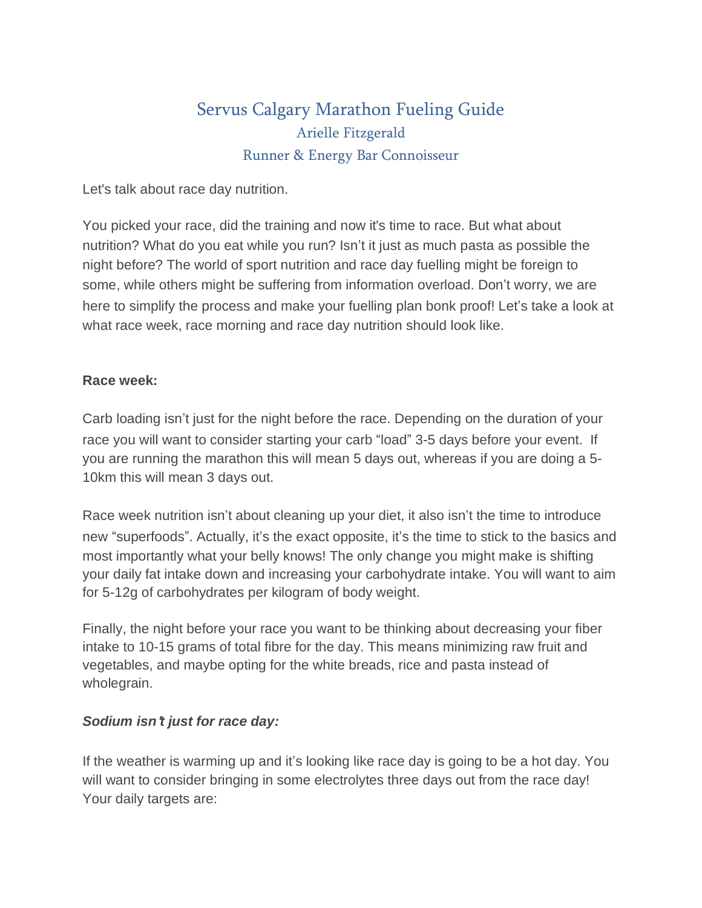# Servus Calgary Marathon Fueling Guide Arielle Fitzgerald Runner & Energy Bar Connoisseur

Let's talk about race day nutrition.

You picked your race, did the training and now it's time to race. But what about nutrition? What do you eat while you run? Isn't it just as much pasta as possible the night before? The world of sport nutrition and race day fuelling might be foreign to some, while others might be suffering from information overload. Don't worry, we are here to simplify the process and make your fuelling plan bonk proof! Let's take a look at what race week, race morning and race day nutrition should look like.

#### **Race week:**

Carb loading isn't just for the night before the race. Depending on the duration of your race you will want to consider starting your carb "load" 3-5 days before your event. If you are running the marathon this will mean 5 days out, whereas if you are doing a 5- 10km this will mean 3 days out.

Race week nutrition isn't about cleaning up your diet, it also isn't the time to introduce new "superfoods". Actually, it's the exact opposite, it's the time to stick to the basics and most importantly what your belly knows! The only change you might make is shifting your daily fat intake down and increasing your carbohydrate intake. You will want to aim for 5-12g of carbohydrates per kilogram of body weight.

Finally, the night before your race you want to be thinking about decreasing your fiber intake to 10-15 grams of total fibre for the day. This means minimizing raw fruit and vegetables, and maybe opting for the white breads, rice and pasta instead of wholegrain.

### *Sodium isn*'*t just for race day:*

If the weather is warming up and it's looking like race day is going to be a hot day. You will want to consider bringing in some electrolytes three days out from the race day! Your daily targets are: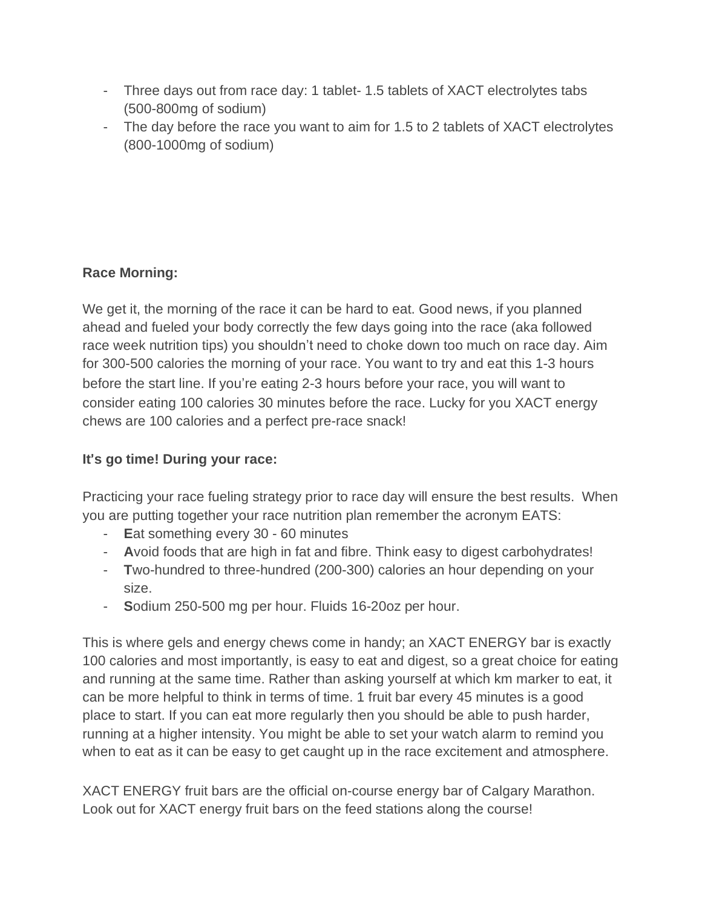- Three days out from race day: 1 tablet- 1.5 tablets of XACT electrolytes tabs (500-800mg of sodium)
- The day before the race you want to aim for 1.5 to 2 tablets of XACT electrolytes (800-1000mg of sodium)

# **Race Morning:**

We get it, the morning of the race it can be hard to eat. Good news, if you planned ahead and fueled your body correctly the few days going into the race (aka followed race week nutrition tips) you shouldn't need to choke down too much on race day. Aim for 300-500 calories the morning of your race. You want to try and eat this 1-3 hours before the start line. If you're eating 2-3 hours before your race, you will want to consider eating 100 calories 30 minutes before the race. Lucky for you XACT energy chews are 100 calories and a perfect pre-race snack!

## **It**'**s go time! During your race:**

Practicing your race fueling strategy prior to race day will ensure the best results. When you are putting together your race nutrition plan remember the acronym EATS:

- **E**at something every 30 60 minutes
- **A**void foods that are high in fat and fibre. Think easy to digest carbohydrates!
- **T**wo-hundred to three-hundred (200-300) calories an hour depending on your size.
- **Sodium 250-500 mg per hour. Fluids 16-20oz per hour.**

This is where gels and energy chews come in handy; an XACT ENERGY bar is exactly 100 calories and most importantly, is easy to eat and digest, so a great choice for eating and running at the same time. Rather than asking yourself at which km marker to eat, it can be more helpful to think in terms of time. 1 fruit bar every 45 minutes is a good place to start. If you can eat more regularly then you should be able to push harder, running at a higher intensity. You might be able to set your watch alarm to remind you when to eat as it can be easy to get caught up in the race excitement and atmosphere.

XACT ENERGY fruit bars are the official on-course energy bar of Calgary Marathon. Look out for XACT energy fruit bars on the feed stations along the course!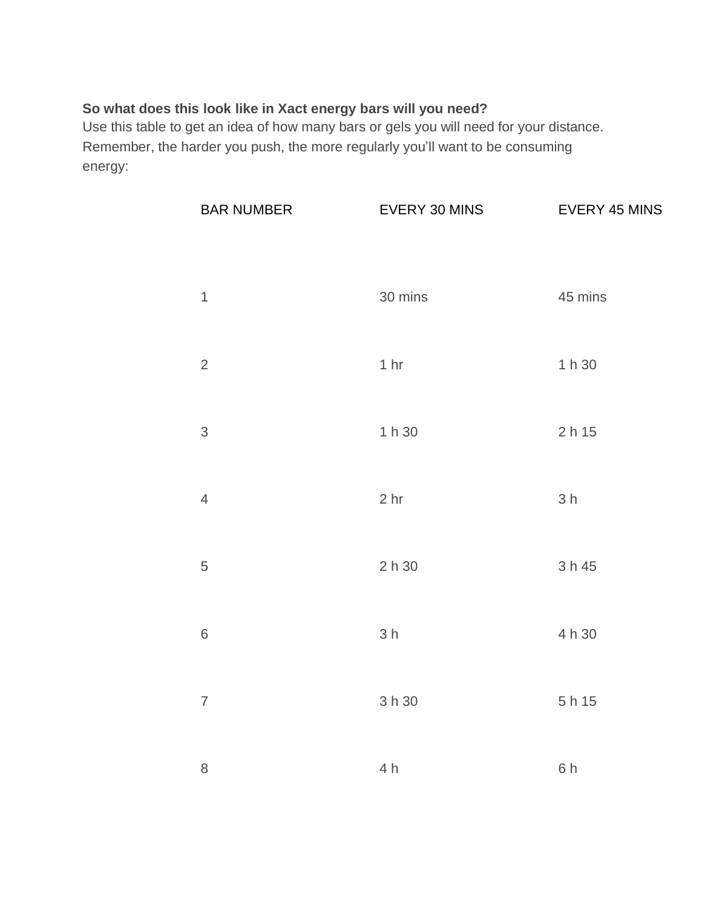#### **So what does this look like in Xact energy bars will you need?**

Use this table to get an idea of how many bars or gels you will need for your distance. Remember, the harder you push, the more regularly you'll want to be consuming energy:

| <b>BAR NUMBER</b> | EVERY 30 MINS   | <b>EVERY 45 MINS</b> |
|-------------------|-----------------|----------------------|
| $\mathbf{1}$      | 30 mins         | 45 mins              |
| $\overline{2}$    | 1 <sub>hr</sub> | 1 h 30               |
| 3                 | 1 h 30          | 2h15                 |
| $\overline{4}$    | 2 <sub>hr</sub> | 3h                   |
| 5                 | 2h30            | 3 h 45               |
| $\,6\,$           | 3h              | 4 h 30               |
| $\overline{7}$    | 3 h 30          | 5 h 15               |
| 8                 | 4 h             | 6h                   |